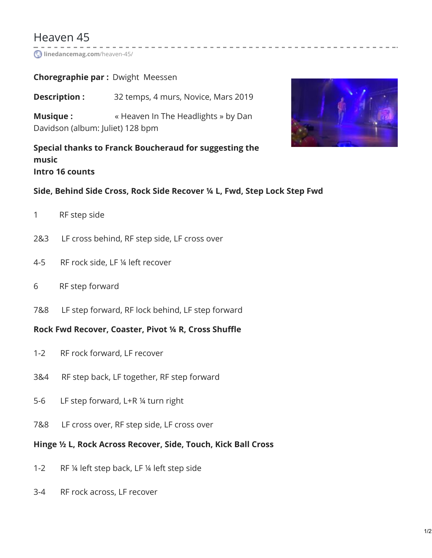# Heaven 45

**[linedancemag.com](https://www.linedancemag.com/heaven-45/)**/heaven-45/

# **Choregraphie par :** Dwight Meessen

**Description :** 32 temps, 4 murs, Novice, Mars 2019

**Musique :** « Heaven In The Headlights » by Dan Davidson (album: Juliet) 128 bpm

**Special thanks to Franck Boucheraud for suggesting the music Intro 16 counts**



#### **Side, Behind Side Cross, Rock Side Recover ¼ L, Fwd, Step Lock Step Fwd**

- 1 RF step side
- 2&3 LF cross behind, RF step side, LF cross over
- 4-5 RF rock side, LF ¼ left recover
- 6 RF step forward
- 7&8 LF step forward, RF lock behind, LF step forward

#### **Rock Fwd Recover, Coaster, Pivot ¼ R, Cross Shuffle**

- 1-2 RF rock forward, LF recover
- 3&4 RF step back, LF together, RF step forward
- 5-6 LF step forward, L+R ¼ turn right
- 7&8 LF cross over, RF step side, LF cross over

#### **Hinge ½ L, Rock Across Recover, Side, Touch, Kick Ball Cross**

- 1-2 RF ¼ left step back, LF ¼ left step side
- 3-4 RF rock across, LF recover